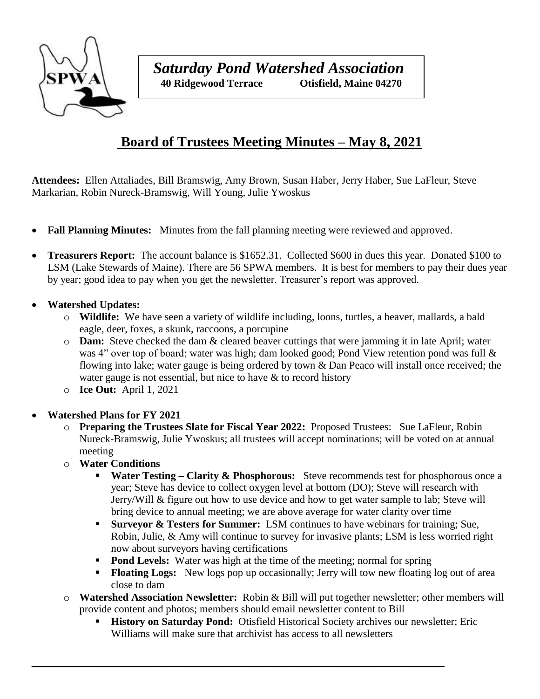

## **Board of Trustees Meeting Minutes – May 8, 2021**

**Attendees:** Ellen Attaliades, Bill Bramswig, Amy Brown, Susan Haber, Jerry Haber, Sue LaFleur, Steve Markarian, Robin Nureck-Bramswig, Will Young, Julie Ywoskus

- **Fall Planning Minutes:** Minutes from the fall planning meeting were reviewed and approved.
- **Treasurers Report:** The account balance is \$1652.31. Collected \$600 in dues this year. Donated \$100 to LSM (Lake Stewards of Maine). There are 56 SPWA members. It is best for members to pay their dues year by year; good idea to pay when you get the newsletter. Treasurer's report was approved.

## **Watershed Updates:**

- o **Wildlife:** We have seen a variety of wildlife including, loons, turtles, a beaver, mallards, a bald eagle, deer, foxes, a skunk, raccoons, a porcupine
- o **Dam:** Steve checked the dam & cleared beaver cuttings that were jamming it in late April; water was 4" over top of board; water was high; dam looked good; Pond View retention pond was full  $\&$ flowing into lake; water gauge is being ordered by town & Dan Peaco will install once received; the water gauge is not essential, but nice to have  $\&$  to record history
- o **Ice Out:** April 1, 2021

## **Watershed Plans for FY 2021**

- o **Preparing the Trustees Slate for Fiscal Year 2022:** Proposed Trustees: Sue LaFleur, Robin Nureck-Bramswig, Julie Ywoskus; all trustees will accept nominations; will be voted on at annual meeting
- o **Water Conditions**
	- **Water Testing Clarity & Phosphorous:** Steve recommends test for phosphorous once a year; Steve has device to collect oxygen level at bottom (DO); Steve will research with Jerry/Will & figure out how to use device and how to get water sample to lab; Steve will bring device to annual meeting; we are above average for water clarity over time
	- **Surveyor & Testers for Summer:** LSM continues to have webinars for training; Sue, Robin, Julie, & Amy will continue to survey for invasive plants; LSM is less worried right now about surveyors having certifications
	- **Pond Levels:** Water was high at the time of the meeting; normal for spring

 $\_$  , and the set of the set of the set of the set of the set of the set of the set of the set of the set of the set of the set of the set of the set of the set of the set of the set of the set of the set of the set of th

- **Floating Logs:** New logs pop up occasionally; Jerry will tow new floating log out of area close to dam
- o **Watershed Association Newsletter:** Robin & Bill will put together newsletter; other members will provide content and photos; members should email newsletter content to Bill
	- **History on Saturday Pond:** Otisfield Historical Society archives our newsletter; Eric Williams will make sure that archivist has access to all newsletters